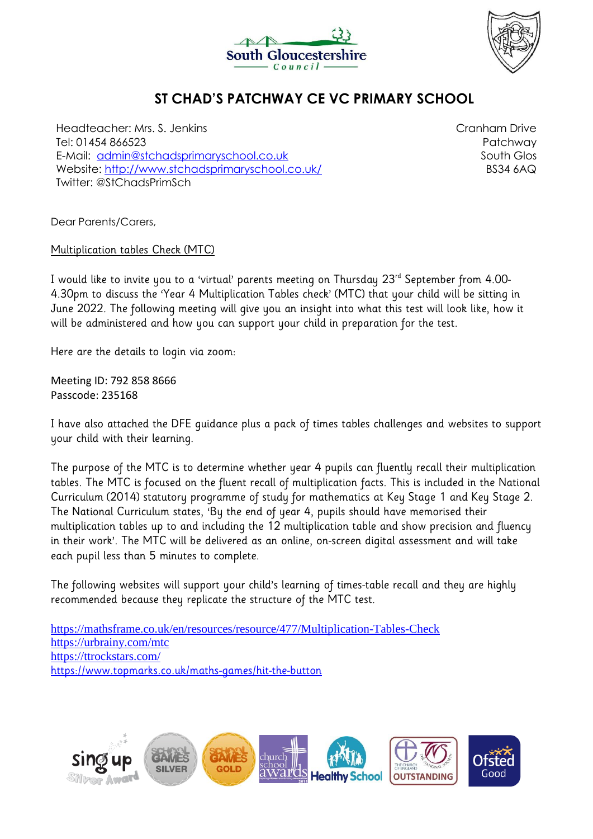



## **ST CHAD'S PATCHWAY CE VC PRIMARY SCHOOL**

Headteacher: Mrs. S. Jenkins Tel: 01454 866523 E-Mail: [admin@stchadsprimaryschool.co.uk](mailto:admin@stchadsprimaryschool.co.uk) Website:<http://www.stchadsprimaryschool.co.uk/> Twitter: @StChadsPrimSch

Cranham Drive Patchway South Glos BS34 6AQ

Dear Parents/Carers,

Multiplication tables Check (MTC)

I would like to invite you to a 'virtual' parents meeting on Thursday 23rd September from 4.00- 4.30pm to discuss the 'Year 4 Multiplication Tables check' (MTC) that your child will be sitting in June 2022. The following meeting will give you an insight into what this test will look like, how it will be administered and how you can support your child in preparation for the test.

Here are the details to login via zoom:

Meeting ID: 792 858 8666 Passcode: 235168

I have also attached the DFE guidance plus a pack of times tables challenges and websites to support your child with their learning.

The purpose of the MTC is to determine whether year 4 pupils can fluently recall their multiplication tables. The MTC is focused on the fluent recall of multiplication facts. This is included in the National Curriculum (2014) statutory programme of study for mathematics at Key Stage 1 and Key Stage 2. The National Curriculum states, 'By the end of year 4, pupils should have memorised their multiplication tables up to and including the 12 multiplication table and show precision and fluency in their work'. The MTC will be delivered as an online, on-screen digital assessment and will take each pupil less than 5 minutes to complete.

The following websites will support your child's learning of times-table recall and they are highly recommended because they replicate the structure of the MTC test.

<https://mathsframe.co.uk/en/resources/resource/477/Multiplication-Tables-Check> <https://urbrainy.com/mtc> <https://ttrockstars.com/> <https://www.topmarks.co.uk/maths-games/hit-the-button>